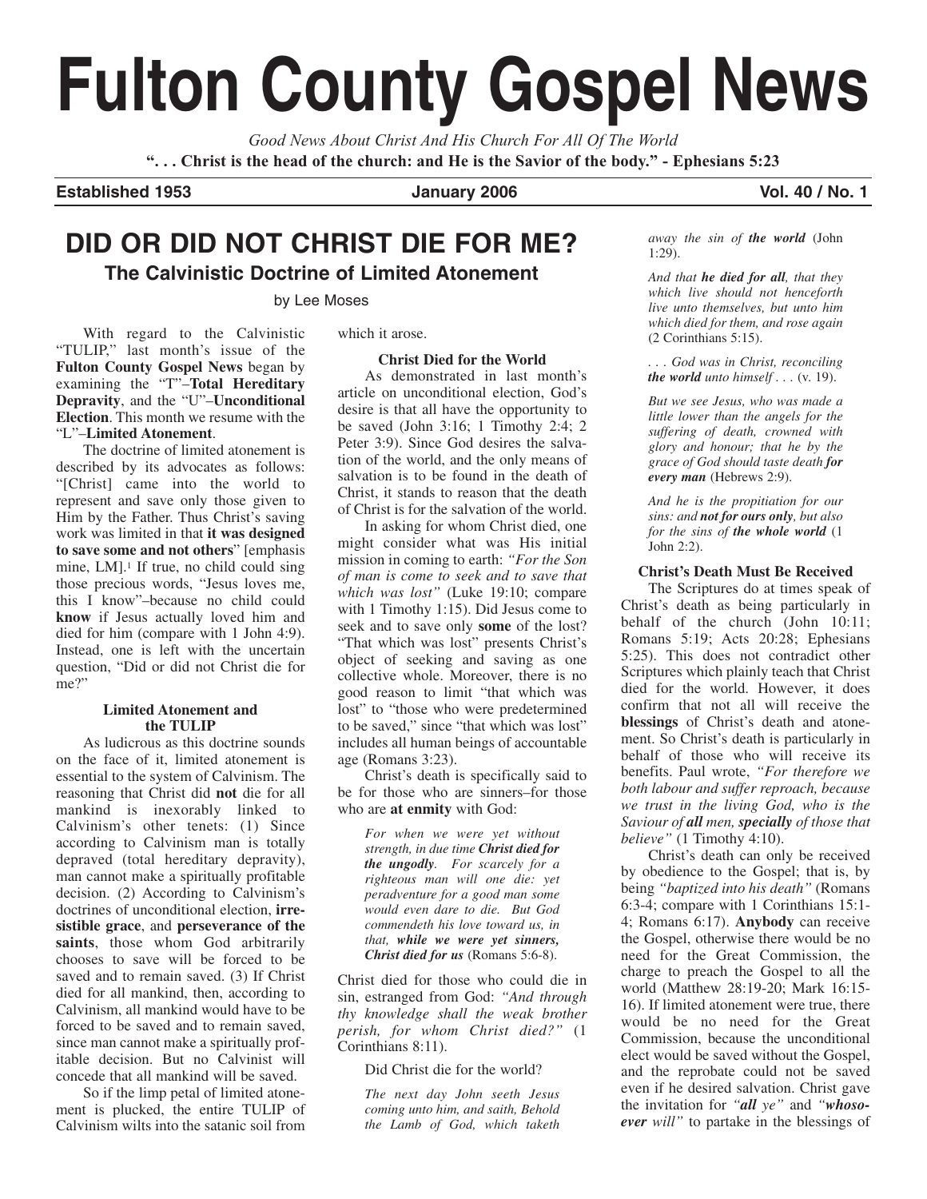# **Fulton County Gospel News**

*Good News About Christ And His Church For All Of The World* **". . . Christ is the head of the church: and He is the Savior of the body." - Ephesians 5:23**

**Established 1953 January 2006 Vol. 40 / No. 1**

## **DID OR DID NOT CHRIST DIE FOR ME? The Calvinistic Doctrine of Limited Atonement**

by Lee Moses

With regard to the Calvinistic "TULIP," last month's issue of the **Fulton County Gospel News** began by examining the "T"–**Total Hereditary Depravity**, and the "U"–**Unconditional Election**. This month we resume with the "L"–**Limited Atonement**.

The doctrine of limited atonement is described by its advocates as follows: "[Christ] came into the world to represent and save only those given to Him by the Father. Thus Christ's saving work was limited in that **it was designed to save some and not others**" [emphasis mine,  $LM$ ].<sup>1</sup> If true, no child could sing those precious words, "Jesus loves me, this I know"–because no child could **know** if Jesus actually loved him and died for him (compare with 1 John 4:9). Instead, one is left with the uncertain question, "Did or did not Christ die for me?"

#### **Limited Atonement and the TULIP**

As ludicrous as this doctrine sounds on the face of it, limited atonement is essential to the system of Calvinism. The reasoning that Christ did **not** die for all mankind is inexorably linked to Calvinism's other tenets: (1) Since according to Calvinism man is totally depraved (total hereditary depravity), man cannot make a spiritually profitable decision. (2) According to Calvinism's doctrines of unconditional election, **irresistible grace**, and **perseverance of the** saints, those whom God arbitrarily chooses to save will be forced to be saved and to remain saved. (3) If Christ died for all mankind, then, according to Calvinism, all mankind would have to be forced to be saved and to remain saved, since man cannot make a spiritually profitable decision. But no Calvinist will concede that all mankind will be saved.

So if the limp petal of limited atonement is plucked, the entire TULIP of Calvinism wilts into the satanic soil from

which it arose.

#### **Christ Died for the World**

As demonstrated in last month's article on unconditional election, God's desire is that all have the opportunity to be saved (John 3:16; 1 Timothy 2:4; 2 Peter 3:9). Since God desires the salvation of the world, and the only means of salvation is to be found in the death of Christ, it stands to reason that the death of Christ is for the salvation of the world.

In asking for whom Christ died, one might consider what was His initial mission in coming to earth: *"For the Son of man is come to seek and to save that which was lost"* (Luke 19:10; compare with 1 Timothy 1:15). Did Jesus come to seek and to save only **some** of the lost? "That which was lost" presents Christ's object of seeking and saving as one collective whole. Moreover, there is no good reason to limit "that which was lost" to "those who were predetermined to be saved," since "that which was lost" includes all human beings of accountable age (Romans 3:23).

Christ's death is specifically said to be for those who are sinners–for those who are **at enmity** with God:

> *For when we were yet without strength, in due time Christ died for the ungodly. For scarcely for a righteous man will one die: yet peradventure for a good man some would even dare to die. But God commendeth his love toward us, in that, while we were yet sinners, Christ died for us* (Romans 5:6-8).

Christ died for those who could die in sin, estranged from God: *"And through thy knowledge shall the weak brother perish, for whom Christ died?"* (1 Corinthians 8:11).

Did Christ die for the world?

*The next day John seeth Jesus coming unto him, and saith, Behold the Lamb of God, which taketh* *away the sin of the world* (John 1:29).

*And that he died for all, that they which live should not henceforth live unto themselves, but unto him which died for them, and rose again* (2 Corinthians 5:15).

*. . . God was in Christ, reconciling the world unto himself . . .* (v. 19).

*But we see Jesus, who was made a little lower than the angels for the suffering of death, crowned with glory and honour; that he by the grace of God should taste death for every man* (Hebrews 2:9).

*And he is the propitiation for our sins: and not for ours only, but also for the sins of the whole world* (1 John 2:2).

#### **Christ's Death Must Be Received**

The Scriptures do at times speak of Christ's death as being particularly in behalf of the church (John 10:11; Romans 5:19; Acts 20:28; Ephesians 5:25). This does not contradict other Scriptures which plainly teach that Christ died for the world. However, it does confirm that not all will receive the **blessings** of Christ's death and atonement. So Christ's death is particularly in behalf of those who will receive its benefits. Paul wrote, *"For therefore we both labour and suffer reproach, because we trust in the living God, who is the Saviour of all men, specially of those that believe"* (1 Timothy 4:10).

Christ's death can only be received by obedience to the Gospel; that is, by being *"baptized into his death"* (Romans 6:3-4; compare with 1 Corinthians 15:1- 4; Romans 6:17). **Anybody** can receive the Gospel, otherwise there would be no need for the Great Commission, the charge to preach the Gospel to all the world (Matthew 28:19-20; Mark 16:15- 16). If limited atonement were true, there would be no need for the Great Commission, because the unconditional elect would be saved without the Gospel, and the reprobate could not be saved even if he desired salvation. Christ gave the invitation for *"all ye"* and *"whosoever will"* to partake in the blessings of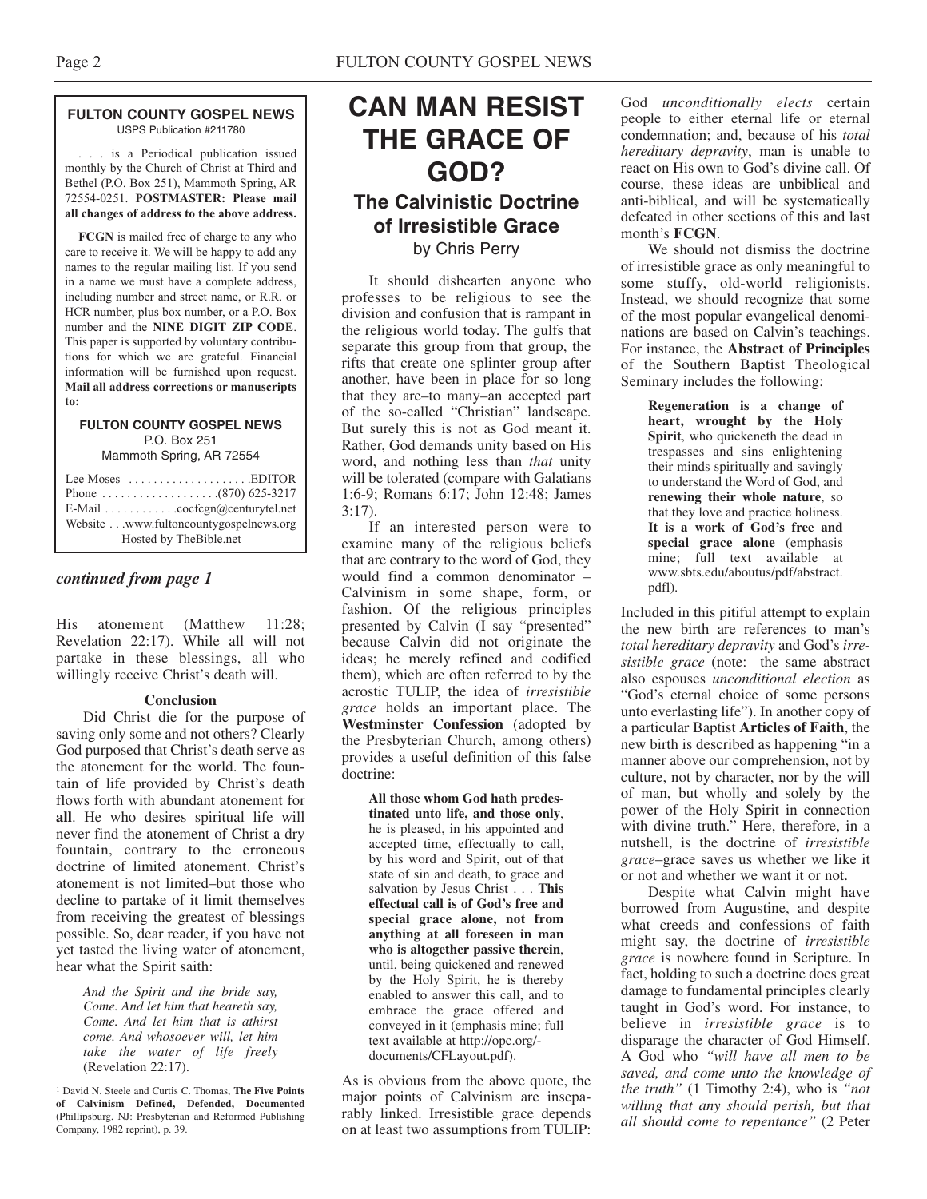#### **FULTON COUNTY GOSPEL NEWS** USPS Publication #211780

. . . is a Periodical publication issued monthly by the Church of Christ at Third and Bethel (P.O. Box 251), Mammoth Spring, AR 72554-0251. **POSTMASTER: Please mail all changes of address to the above address.**

**FCGN** is mailed free of charge to any who care to receive it. We will be happy to add any names to the regular mailing list. If you send in a name we must have a complete address, including number and street name, or R.R. or HCR number, plus box number, or a P.O. Box number and the **NINE DIGIT ZIP CODE**. This paper is supported by voluntary contributions for which we are grateful. Financial information will be furnished upon request. **Mail all address corrections or manuscripts to:**

#### **FULTON COUNTY GOSPEL NEWS** P.O. Box 251

Mammoth Spring, AR 72554

| Lee Moses $\dots\dots\dots\dots\dots\dots$ . EDITOR |
|-----------------------------------------------------|
|                                                     |
| E-Mail cocfcgn@centurytel.net                       |
| Website www.fultoncountygospelnews.org              |
| Hosted by TheBible.net                              |

#### *continued from page 1*

His atonement (Matthew 11:28; Revelation 22:17). While all will not partake in these blessings, all who willingly receive Christ's death will.

#### **Conclusion**

Did Christ die for the purpose of saving only some and not others? Clearly God purposed that Christ's death serve as the atonement for the world. The fountain of life provided by Christ's death flows forth with abundant atonement for **all**. He who desires spiritual life will never find the atonement of Christ a dry fountain, contrary to the erroneous doctrine of limited atonement. Christ's atonement is not limited–but those who decline to partake of it limit themselves from receiving the greatest of blessings possible. So, dear reader, if you have not yet tasted the living water of atonement, hear what the Spirit saith:

> *And the Spirit and the bride say, Come. And let him that heareth say, Come. And let him that is athirst come. And whosoever will, let him take the water of life freely* (Revelation 22:17).

<sup>1</sup> David N. Steele and Curtis C. Thomas, **The Five Points of Calvinism Defined, Defended, Documented** (Phillipsburg, NJ: Presbyterian and Reformed Publishing Company, 1982 reprint), p. 39.

## **CAN MAN RESIST THE GRACE OF GOD? The Calvinistic Doctrine**

## **of Irresistible Grace** by Chris Perry

It should dishearten anyone who professes to be religious to see the division and confusion that is rampant in the religious world today. The gulfs that separate this group from that group, the rifts that create one splinter group after another, have been in place for so long that they are–to many–an accepted part of the so-called "Christian" landscape. But surely this is not as God meant it. Rather, God demands unity based on His word, and nothing less than *that* unity will be tolerated (compare with Galatians 1:6-9; Romans 6:17; John 12:48; James 3:17).

If an interested person were to examine many of the religious beliefs that are contrary to the word of God, they would find a common denominator – Calvinism in some shape, form, or fashion. Of the religious principles presented by Calvin (I say "presented" because Calvin did not originate the ideas; he merely refined and codified them), which are often referred to by the acrostic TULIP, the idea of *irresistible grace* holds an important place. The **Westminster Confession** (adopted by the Presbyterian Church, among others) provides a useful definition of this false doctrine:

> **All those whom God hath predestinated unto life, and those only**, he is pleased, in his appointed and accepted time, effectually to call, by his word and Spirit, out of that state of sin and death, to grace and salvation by Jesus Christ . . . **This effectual call is of God's free and special grace alone, not from anything at all foreseen in man who is altogether passive therein**, until, being quickened and renewed by the Holy Spirit, he is thereby enabled to answer this call, and to embrace the grace offered and conveyed in it (emphasis mine; full text available at http://opc.org/ documents/CFLayout.pdf).

As is obvious from the above quote, the major points of Calvinism are inseparably linked. Irresistible grace depends on at least two assumptions from TULIP: God *unconditionally elects* certain people to either eternal life or eternal condemnation; and, because of his *total hereditary depravity*, man is unable to react on His own to God's divine call. Of course, these ideas are unbiblical and anti-biblical, and will be systematically defeated in other sections of this and last month's **FCGN**.

We should not dismiss the doctrine of irresistible grace as only meaningful to some stuffy, old-world religionists. Instead, we should recognize that some of the most popular evangelical denominations are based on Calvin's teachings. For instance, the **Abstract of Principles** of the Southern Baptist Theological Seminary includes the following:

> **Regeneration is a change of heart, wrought by the Holy Spirit**, who quickeneth the dead in trespasses and sins enlightening their minds spiritually and savingly to understand the Word of God, and **renewing their whole nature**, so that they love and practice holiness. **It is a work of God's free and special grace alone** (emphasis mine; full text available at www.sbts.edu/aboutus/pdf/abstract. pdfl).

Included in this pitiful attempt to explain the new birth are references to man's *total hereditary depravity* and God's *irresistible grace* (note: the same abstract also espouses *unconditional election* as "God's eternal choice of some persons unto everlasting life"). In another copy of a particular Baptist **Articles of Faith**, the new birth is described as happening "in a manner above our comprehension, not by culture, not by character, nor by the will of man, but wholly and solely by the power of the Holy Spirit in connection with divine truth." Here, therefore, in a nutshell, is the doctrine of *irresistible grace*–grace saves us whether we like it or not and whether we want it or not.

Despite what Calvin might have borrowed from Augustine, and despite what creeds and confessions of faith might say, the doctrine of *irresistible grace* is nowhere found in Scripture. In fact, holding to such a doctrine does great damage to fundamental principles clearly taught in God's word. For instance, to believe in *irresistible grace* is to disparage the character of God Himself. A God who *"will have all men to be saved, and come unto the knowledge of the truth"* (1 Timothy 2:4), who is *"not willing that any should perish, but that all should come to repentance"* (2 Peter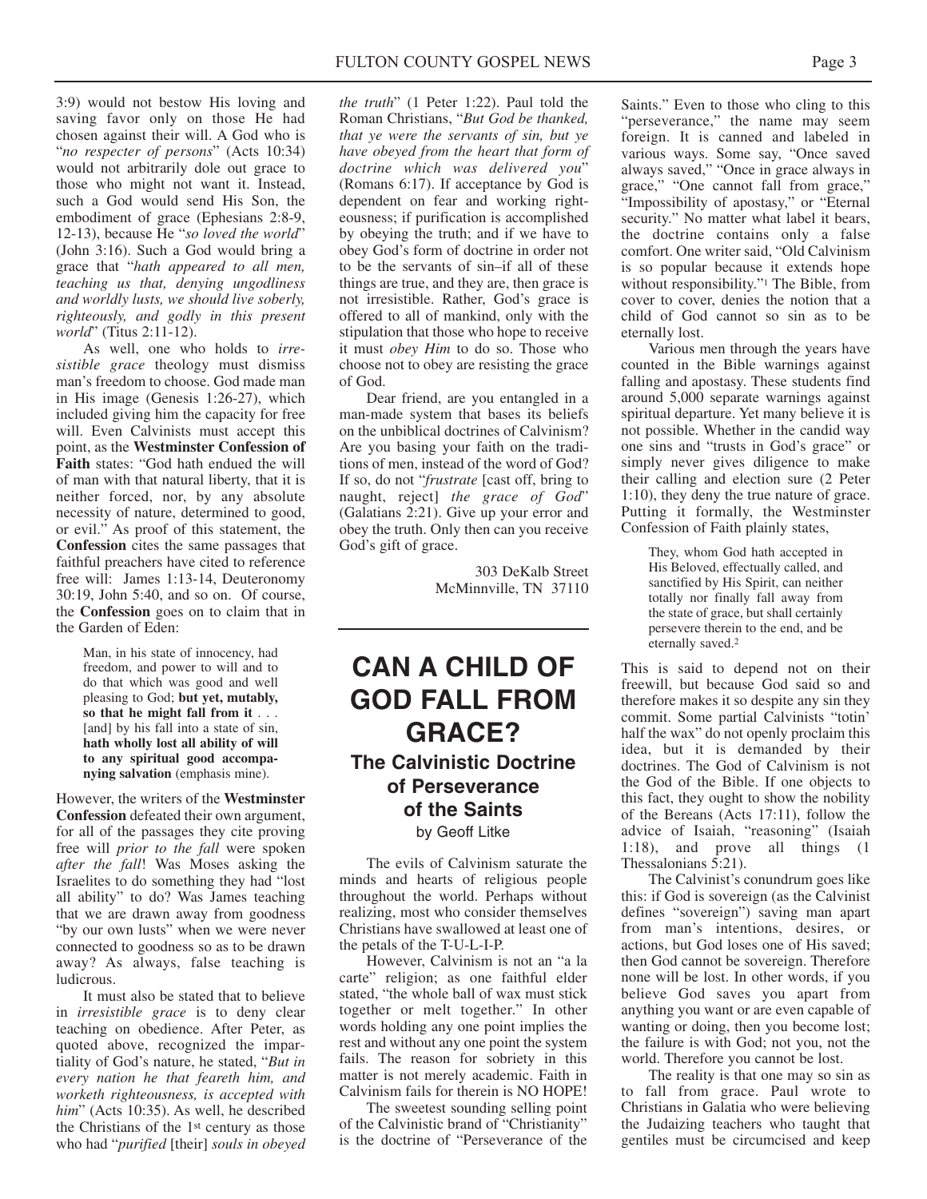3:9) would not bestow His loving and saving favor only on those He had chosen against their will. A God who is "*no respecter of persons*" (Acts 10:34) would not arbitrarily dole out grace to those who might not want it. Instead, such a God would send His Son, the embodiment of grace (Ephesians 2:8-9, 12-13), because He "*so loved the world*" (John 3:16). Such a God would bring a grace that "*hath appeared to all men, teaching us that, denying ungodliness and worldly lusts, we should live soberly, righteously, and godly in this present world*" (Titus 2:11-12).

As well, one who holds to *irresistible grace* theology must dismiss man's freedom to choose. God made man in His image (Genesis 1:26-27), which included giving him the capacity for free will. Even Calvinists must accept this point, as the **Westminster Confession of Faith** states: "God hath endued the will of man with that natural liberty, that it is neither forced, nor, by any absolute necessity of nature, determined to good, or evil." As proof of this statement, the **Confession** cites the same passages that faithful preachers have cited to reference free will: James 1:13-14, Deuteronomy 30:19, John 5:40, and so on. Of course, the **Confession** goes on to claim that in the Garden of Eden:

> Man, in his state of innocency, had freedom, and power to will and to do that which was good and well pleasing to God; **but yet, mutably, so that he might fall from it** . . . [and] by his fall into a state of sin. **hath wholly lost all ability of will to any spiritual good accompanying salvation** (emphasis mine).

However, the writers of the **Westminster Confession** defeated their own argument, for all of the passages they cite proving free will *prior to the fall* were spoken *after the fall*! Was Moses asking the Israelites to do something they had "lost all ability" to do? Was James teaching that we are drawn away from goodness "by our own lusts" when we were never connected to goodness so as to be drawn away? As always, false teaching is ludicrous.

It must also be stated that to believe in *irresistible grace* is to deny clear teaching on obedience. After Peter, as quoted above, recognized the impartiality of God's nature, he stated, "*But in every nation he that feareth him, and worketh righteousness, is accepted with him*" (Acts 10:35). As well, he described the Christians of the 1st century as those who had "*purified* [their] *souls in obeyed*

*the truth*" (1 Peter 1:22). Paul told the Roman Christians, "*But God be thanked, that ye were the servants of sin, but ye have obeyed from the heart that form of doctrine which was delivered you*" (Romans 6:17). If acceptance by God is dependent on fear and working righteousness; if purification is accomplished by obeying the truth; and if we have to obey God's form of doctrine in order not to be the servants of sin–if all of these things are true, and they are, then grace is not irresistible. Rather, God's grace is offered to all of mankind, only with the stipulation that those who hope to receive it must *obey Him* to do so. Those who choose not to obey are resisting the grace of God.

Dear friend, are you entangled in a man-made system that bases its beliefs on the unbiblical doctrines of Calvinism? Are you basing your faith on the traditions of men, instead of the word of God? If so, do not "*frustrate* [cast off, bring to naught, reject] *the grace of God*" (Galatians 2:21). Give up your error and obey the truth. Only then can you receive God's gift of grace.

> 303 DeKalb Street McMinnville, TN 37110

## **CAN A CHILD OF GOD FALL FROM GRACE? The Calvinistic Doctrine of Perseverance of the Saints** by Geoff Litke

The evils of Calvinism saturate the minds and hearts of religious people throughout the world. Perhaps without realizing, most who consider themselves Christians have swallowed at least one of the petals of the T-U-L-I-P.

However, Calvinism is not an "a la carte" religion; as one faithful elder stated, "the whole ball of wax must stick together or melt together." In other words holding any one point implies the rest and without any one point the system fails. The reason for sobriety in this matter is not merely academic. Faith in Calvinism fails for therein is NO HOPE!

The sweetest sounding selling point of the Calvinistic brand of "Christianity" is the doctrine of "Perseverance of the

Saints." Even to those who cling to this "perseverance," the name may seem foreign. It is canned and labeled in various ways. Some say, "Once saved always saved," "Once in grace always in grace," "One cannot fall from grace," "Impossibility of apostasy," or "Eternal security." No matter what label it bears, the doctrine contains only a false comfort. One writer said, "Old Calvinism is so popular because it extends hope without responsibility."1 The Bible, from cover to cover, denies the notion that a child of God cannot so sin as to be eternally lost.

Various men through the years have counted in the Bible warnings against falling and apostasy. These students find around 5,000 separate warnings against spiritual departure. Yet many believe it is not possible. Whether in the candid way one sins and "trusts in God's grace" or simply never gives diligence to make their calling and election sure (2 Peter 1:10), they deny the true nature of grace. Putting it formally, the Westminster Confession of Faith plainly states,

> They, whom God hath accepted in His Beloved, effectually called, and sanctified by His Spirit, can neither totally nor finally fall away from the state of grace, but shall certainly persevere therein to the end, and be eternally saved.2

This is said to depend not on their freewill, but because God said so and therefore makes it so despite any sin they commit. Some partial Calvinists "totin' half the wax" do not openly proclaim this idea, but it is demanded by their doctrines. The God of Calvinism is not the God of the Bible. If one objects to this fact, they ought to show the nobility of the Bereans (Acts 17:11), follow the advice of Isaiah, "reasoning" (Isaiah 1:18), and prove all things (1 Thessalonians 5:21).

The Calvinist's conundrum goes like this: if God is sovereign (as the Calvinist defines "sovereign") saving man apart from man's intentions, desires, or actions, but God loses one of His saved; then God cannot be sovereign. Therefore none will be lost. In other words, if you believe God saves you apart from anything you want or are even capable of wanting or doing, then you become lost; the failure is with God; not you, not the world. Therefore you cannot be lost.

The reality is that one may so sin as to fall from grace. Paul wrote to Christians in Galatia who were believing the Judaizing teachers who taught that gentiles must be circumcised and keep